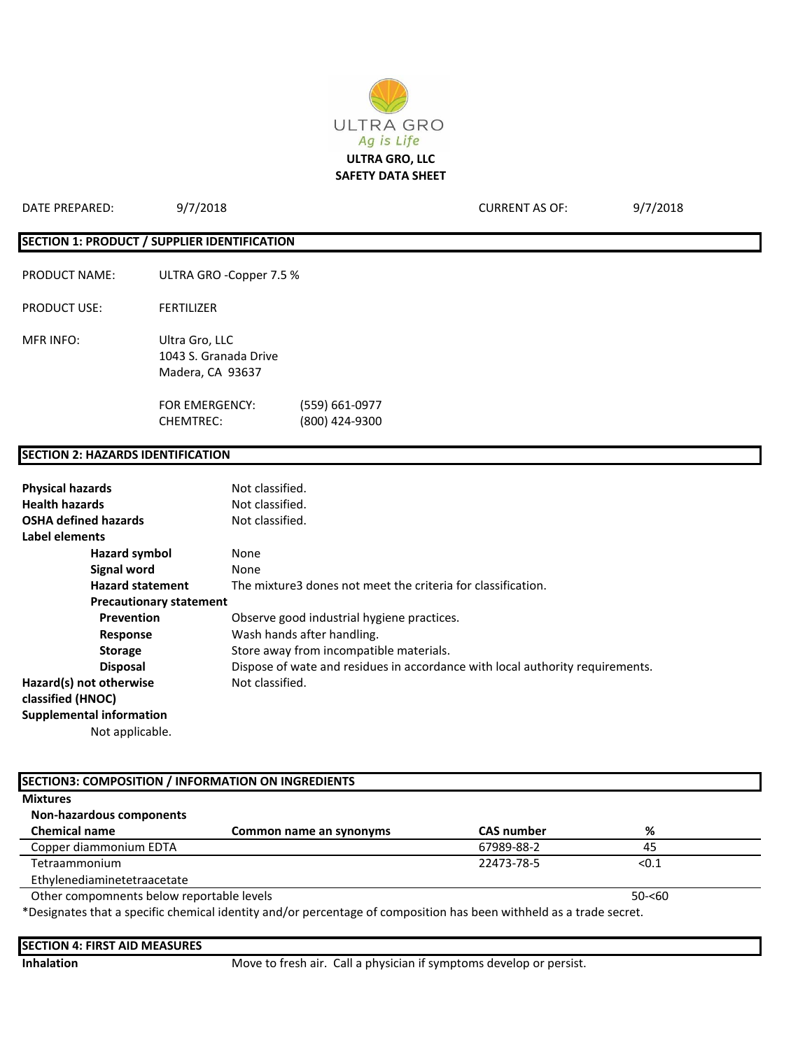

| DATE PREPARED:                           | 9/7/2018                                                    |                                  | <b>CURRENT AS OF:</b> | 9/7/2018 |
|------------------------------------------|-------------------------------------------------------------|----------------------------------|-----------------------|----------|
|                                          | SECTION 1: PRODUCT / SUPPLIER IDENTIFICATION                |                                  |                       |          |
| <b>PRODUCT NAME:</b>                     | ULTRA GRO -Copper 7.5 %                                     |                                  |                       |          |
| <b>PRODUCT USE:</b>                      | <b>FERTILIZER</b>                                           |                                  |                       |          |
| <b>MFR INFO:</b>                         | Ultra Gro, LLC<br>1043 S. Granada Drive<br>Madera, CA 93637 |                                  |                       |          |
|                                          | <b>FOR EMERGENCY:</b><br><b>CHEMTREC:</b>                   | (559) 661-0977<br>(800) 424-9300 |                       |          |
| <b>SECTION 2: HAZARDS IDENTIFICATION</b> |                                                             |                                  |                       |          |

#### **Physical hazards** Not classified.<br> **Health hazards** Not classified. **Not classified. OSHA defined hazards** Not classified. **Label elements Hazard symbol** None **Signal word** None **Hazard statement** The mixture3 dones not meet the criteria for classification. **Precautionary statement Prevention CODE OBSERVE GOOD INCOCERCITS** DEPTHENION OBSERVE PROTECTS. **Response** Wash hands after handling. **Storage** Store away from incompatible materials. **Disposal** Dispose of wate and residues in accordance with local authority requirements. Hazard(s) not otherwise **Not classified**. **classified (HNOC) Supplemental information** Not applicable.

| <b>Mixtures</b>                           |                                                                                                                     |                   |           |
|-------------------------------------------|---------------------------------------------------------------------------------------------------------------------|-------------------|-----------|
| Non-hazardous components                  |                                                                                                                     |                   |           |
| <b>Chemical name</b>                      | Common name an synonyms                                                                                             | <b>CAS number</b> | %         |
| Copper diammonium EDTA                    |                                                                                                                     | 67989-88-2        | 45        |
| Tetraammonium                             |                                                                                                                     | 22473-78-5        | < 0.1     |
| Ethylenediaminetetraacetate               |                                                                                                                     |                   |           |
| Other compomnents below reportable levels |                                                                                                                     |                   | $50 - 60$ |
|                                           | *Designates that a specific chemical identity and/or percentage of composition has been withheld as a trade secret. |                   |           |

| <b>Inhalation</b> | Move to fresh air. Call a physician if symptoms develop or persist. |
|-------------------|---------------------------------------------------------------------|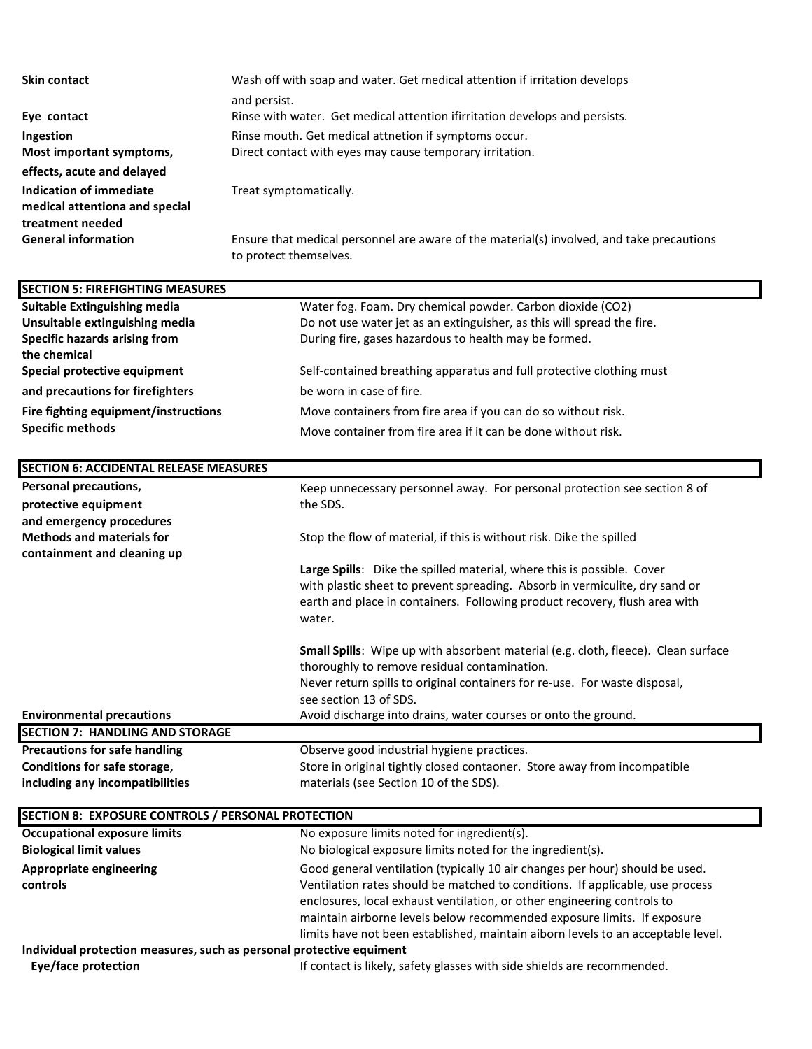| <b>Skin contact</b>            | Wash off with soap and water. Get medical attention if irritation develops                |  |  |
|--------------------------------|-------------------------------------------------------------------------------------------|--|--|
|                                | and persist.                                                                              |  |  |
| Eye contact                    | Rinse with water. Get medical attention ifirritation develops and persists.               |  |  |
| Ingestion                      | Rinse mouth. Get medical attnetion if symptoms occur.                                     |  |  |
| Most important symptoms,       | Direct contact with eyes may cause temporary irritation.                                  |  |  |
| effects, acute and delayed     |                                                                                           |  |  |
| Indication of immediate        | Treat symptomatically.                                                                    |  |  |
| medical attentiona and special |                                                                                           |  |  |
| treatment needed               |                                                                                           |  |  |
| <b>General information</b>     | Ensure that medical personnel are aware of the material(s) involved, and take precautions |  |  |

to protect themselves.

**Suitable Extinguishing media** Water fog. Foam. Dry chemical powder. Carbon dioxide (CO2) **Unsuitable extinguishing media** Do not use water jet as an extinguisher, as this will spread the fire. **Specific hazards arising from** During fire, gases hazardous to health may be formed. **the chemical Special protective equipment** Self-contained breathing apparatus and full protective clothing must **and precautions for firefighters** be worn in case of fire. **Fire fighting equipment/instructions** Move containers from fire area if you can do so without risk. **Specific methods** Move container from fire area if it can be done without risk. Personal precautions, and the state of the Keep unnecessary personnel away. For personal protection see section 8 of **protective equipment** the SDS. **and emergency procedures Methods and materials for** Stop the flow of material, if this is without risk. Dike the spilled **containment and cleaning up Large Spills**: Dike the spilled material, where this is possible. Cover with plastic sheet to prevent spreading. Absorb in vermiculite, dry sand or earth and place in containers. Following product recovery, flush area with water. **Small Spills**: Wipe up with absorbent material (e.g. cloth, fleece). Clean surface thoroughly to remove residual contamination. Never return spills to original containers for re-use. For waste disposal, see section 13 of SDS. **Environmental precautions** Avoid discharge into drains, water courses or onto the ground. **Precautions for safe handling Change Conserve good industrial hygiene practices. Conditions for safe storage, Store in original tightly closed contaoner. Store away from incompatible contact to strong and store in original tightly closed contaoner. Store away from incompatible including any incompatibilities** materials (see Section 10 of the SDS). **SECTION 5: FIREFIGHTING MEASURES SECTION 6: ACCIDENTAL RELEASE MEASURES SECTION 7: HANDLING AND STORAGE**

| <b>Occupational exposure limits</b><br>No exposure limits noted for ingredient(s). |                                                                                                                                                                                                                                                                                                                                                                                                         |  |  |
|------------------------------------------------------------------------------------|---------------------------------------------------------------------------------------------------------------------------------------------------------------------------------------------------------------------------------------------------------------------------------------------------------------------------------------------------------------------------------------------------------|--|--|
| <b>Biological limit values</b>                                                     | No biological exposure limits noted for the ingredient(s).                                                                                                                                                                                                                                                                                                                                              |  |  |
| <b>Appropriate engineering</b><br>controls                                         | Good general ventilation (typically 10 air changes per hour) should be used.<br>Ventilation rates should be matched to conditions. If applicable, use process<br>enclosures, local exhaust ventilation, or other engineering controls to<br>maintain airborne levels below recommended exposure limits. If exposure<br>limits have not been established, maintain aiborn levels to an acceptable level. |  |  |
| Individual protection measures, such as personal protective equiment               |                                                                                                                                                                                                                                                                                                                                                                                                         |  |  |
| Eye/face protection                                                                | If contact is likely, safety glasses with side shields are recommended.                                                                                                                                                                                                                                                                                                                                 |  |  |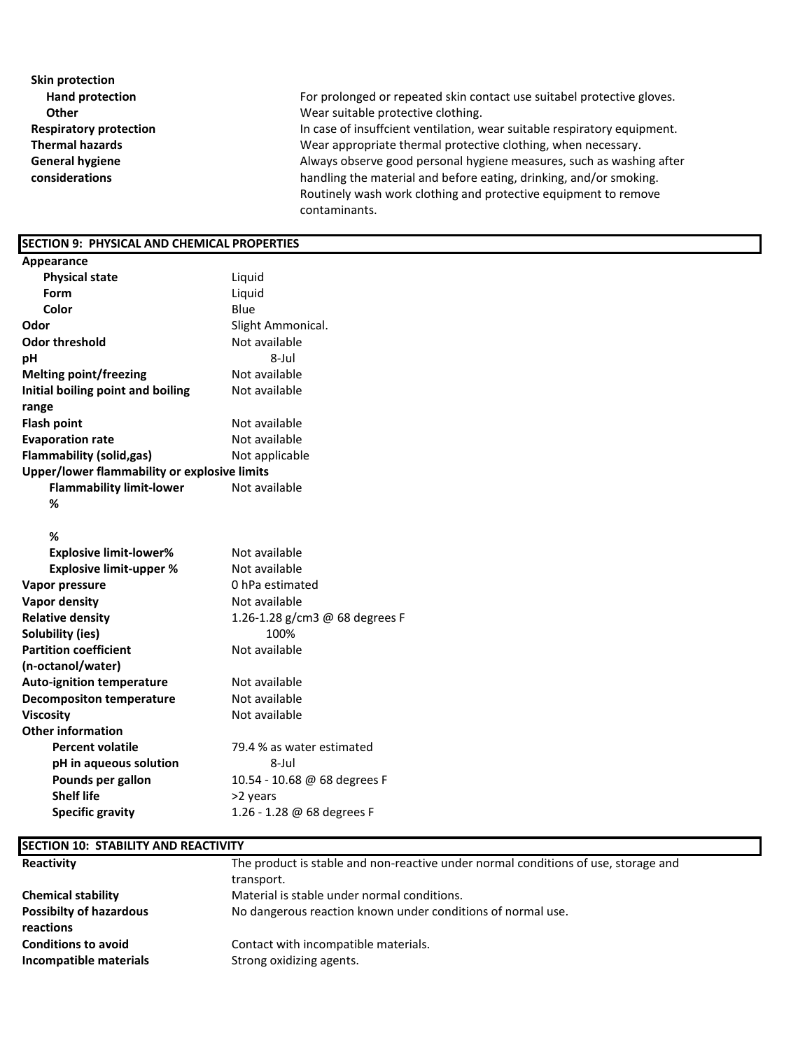| Skin protection               |                                                                          |
|-------------------------------|--------------------------------------------------------------------------|
| <b>Hand protection</b>        | For prolonged or repeated skin contact use suitabel protective gloves.   |
| <b>Other</b>                  | Wear suitable protective clothing.                                       |
| <b>Respiratory protection</b> | In case of insuffcient ventilation, wear suitable respiratory equipment. |
| <b>Thermal hazards</b>        | Wear appropriate thermal protective clothing, when necessary.            |
| <b>General hygiene</b>        | Always observe good personal hygiene measures, such as washing after     |
| considerations                | handling the material and before eating, drinking, and/or smoking.       |
|                               | Routinely wash work clothing and protective equipment to remove          |
|                               | contaminants.                                                            |

## **SECTION 9: PHYSICAL AND CHEMICAL PROPERTIES**

| Appearance                                   |                                |  |
|----------------------------------------------|--------------------------------|--|
| <b>Physical state</b>                        | Liquid                         |  |
| Form                                         | Liquid                         |  |
| Color                                        | Blue                           |  |
| Odor                                         | Slight Ammonical.              |  |
| <b>Odor threshold</b>                        | Not available                  |  |
| pН                                           | 8-Jul                          |  |
| <b>Melting point/freezing</b>                | Not available                  |  |
| Initial boiling point and boiling            | Not available                  |  |
| range                                        |                                |  |
| <b>Flash point</b>                           | Not available                  |  |
| <b>Evaporation rate</b>                      | Not available                  |  |
| <b>Flammability (solid,gas)</b>              | Not applicable                 |  |
| Upper/lower flammability or explosive limits |                                |  |
| <b>Flammability limit-lower</b>              | Not available                  |  |
| %                                            |                                |  |
| %                                            |                                |  |
| <b>Explosive limit-lower%</b>                | Not available                  |  |
| <b>Explosive limit-upper %</b>               | Not available                  |  |
| Vapor pressure                               | 0 hPa estimated                |  |
| <b>Vapor density</b>                         | Not available                  |  |
| <b>Relative density</b>                      | 1.26-1.28 g/cm3 @ 68 degrees F |  |
| Solubility (ies)                             | 100%                           |  |
| <b>Partition coefficient</b>                 | Not available                  |  |
| (n-octanol/water)                            |                                |  |
| <b>Auto-ignition temperature</b>             | Not available                  |  |
| <b>Decompositon temperature</b>              | Not available                  |  |
| <b>Viscosity</b>                             | Not available                  |  |
| <b>Other information</b>                     |                                |  |
| <b>Percent volatile</b>                      | 79.4 % as water estimated      |  |
| pH in aqueous solution                       | 8-Jul                          |  |
| Pounds per gallon                            | 10.54 - 10.68 @ 68 degrees F   |  |
| <b>Shelf life</b>                            | >2 years                       |  |
| <b>Specific gravity</b>                      | 1.26 - 1.28 @ 68 degrees F     |  |
|                                              |                                |  |

### **SECTION 10: STABILITY AND REACTIVITY**

| Reactivity                     | The product is stable and non-reactive under normal conditions of use, storage and |  |  |
|--------------------------------|------------------------------------------------------------------------------------|--|--|
|                                | transport.                                                                         |  |  |
| <b>Chemical stability</b>      | Material is stable under normal conditions.                                        |  |  |
| <b>Possibilty of hazardous</b> | No dangerous reaction known under conditions of normal use.                        |  |  |
| reactions                      |                                                                                    |  |  |
| <b>Conditions to avoid</b>     | Contact with incompatible materials.                                               |  |  |
| Incompatible materials         | Strong oxidizing agents.                                                           |  |  |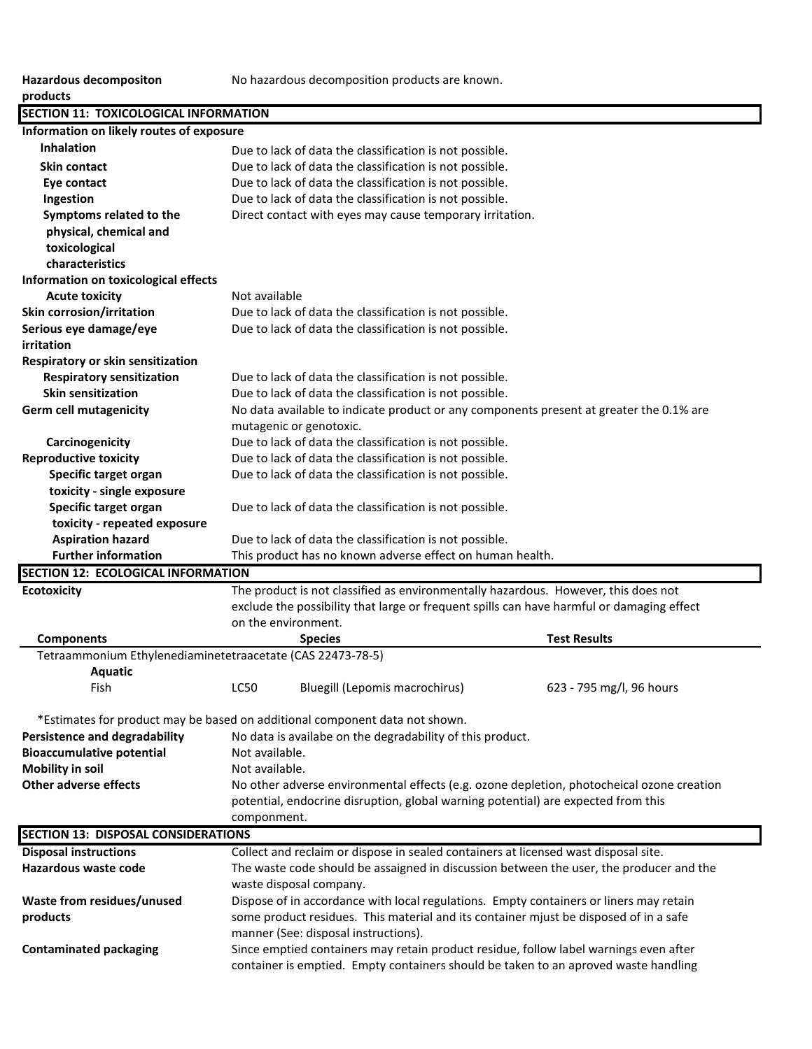# **products**

| SECTION 11: TOXICOLOGICAL INFORMATION                                    |                                                                                           |  |  |
|--------------------------------------------------------------------------|-------------------------------------------------------------------------------------------|--|--|
| Information on likely routes of exposure                                 |                                                                                           |  |  |
| <b>Inhalation</b>                                                        | Due to lack of data the classification is not possible.                                   |  |  |
| <b>Skin contact</b>                                                      | Due to lack of data the classification is not possible.                                   |  |  |
| Eye contact                                                              | Due to lack of data the classification is not possible.                                   |  |  |
| Ingestion                                                                | Due to lack of data the classification is not possible.                                   |  |  |
| Symptoms related to the                                                  | Direct contact with eyes may cause temporary irritation.                                  |  |  |
| physical, chemical and                                                   |                                                                                           |  |  |
| toxicological                                                            |                                                                                           |  |  |
| characteristics                                                          |                                                                                           |  |  |
| Information on toxicological effects                                     |                                                                                           |  |  |
| <b>Acute toxicity</b>                                                    | Not available                                                                             |  |  |
| Skin corrosion/irritation                                                | Due to lack of data the classification is not possible.                                   |  |  |
| Serious eye damage/eye                                                   | Due to lack of data the classification is not possible.                                   |  |  |
| irritation                                                               |                                                                                           |  |  |
| Respiratory or skin sensitization                                        |                                                                                           |  |  |
| <b>Respiratory sensitization</b>                                         | Due to lack of data the classification is not possible.                                   |  |  |
| <b>Skin sensitization</b>                                                | Due to lack of data the classification is not possible.                                   |  |  |
| <b>Germ cell mutagenicity</b>                                            | No data available to indicate product or any components present at greater the 0.1% are   |  |  |
|                                                                          | mutagenic or genotoxic.                                                                   |  |  |
| Carcinogenicity                                                          | Due to lack of data the classification is not possible.                                   |  |  |
| <b>Reproductive toxicity</b>                                             | Due to lack of data the classification is not possible.                                   |  |  |
| Specific target organ                                                    | Due to lack of data the classification is not possible.                                   |  |  |
| toxicity - single exposure                                               |                                                                                           |  |  |
| Specific target organ                                                    | Due to lack of data the classification is not possible.                                   |  |  |
| toxicity - repeated exposure                                             |                                                                                           |  |  |
| <b>Aspiration hazard</b>                                                 | Due to lack of data the classification is not possible.                                   |  |  |
| <b>Further information</b>                                               | This product has no known adverse effect on human health.                                 |  |  |
| SECTION 12: ECOLOGICAL INFORMATION                                       |                                                                                           |  |  |
|                                                                          |                                                                                           |  |  |
| <b>Ecotoxicity</b>                                                       | The product is not classified as environmentally hazardous. However, this does not        |  |  |
|                                                                          | exclude the possibility that large or frequent spills can have harmful or damaging effect |  |  |
|                                                                          | on the environment.                                                                       |  |  |
| <b>Components</b>                                                        | <b>Test Results</b><br><b>Species</b>                                                     |  |  |
| Tetraammonium Ethylenediaminetetraacetate (CAS 22473-78-5)               |                                                                                           |  |  |
| Aquatic                                                                  |                                                                                           |  |  |
| Fish                                                                     | Bluegill (Lepomis macrochirus)<br><b>LC50</b><br>623 - 795 mg/l, 96 hours                 |  |  |
|                                                                          |                                                                                           |  |  |
|                                                                          | *Estimates for product may be based on additional component data not shown.               |  |  |
| <b>Persistence and degradability</b><br><b>Bioaccumulative potential</b> | No data is availabe on the degradability of this product.                                 |  |  |
|                                                                          | Not available.<br>Not available.                                                          |  |  |
| <b>Mobility in soil</b><br><b>Other adverse effects</b>                  |                                                                                           |  |  |
|                                                                          | No other adverse environmental effects (e.g. ozone depletion, photocheical ozone creation |  |  |
|                                                                          | potential, endocrine disruption, global warning potential) are expected from this         |  |  |
|                                                                          | componment.                                                                               |  |  |
| <b>SECTION 13: DISPOSAL CONSIDERATIONS</b>                               |                                                                                           |  |  |
| <b>Disposal instructions</b>                                             | Collect and reclaim or dispose in sealed containers at licensed wast disposal site.       |  |  |
| Hazardous waste code                                                     | The waste code should be assaigned in discussion between the user, the producer and the   |  |  |
|                                                                          | waste disposal company.                                                                   |  |  |
| Waste from residues/unused                                               | Dispose of in accordance with local regulations. Empty containers or liners may retain    |  |  |
| products                                                                 | some product residues. This material and its container mjust be disposed of in a safe     |  |  |
|                                                                          | manner (See: disposal instructions).                                                      |  |  |
| <b>Contaminated packaging</b>                                            | Since emptied containers may retain product residue, follow label warnings even after     |  |  |

container is emptied. Empty containers should be taken to an aproved waste handling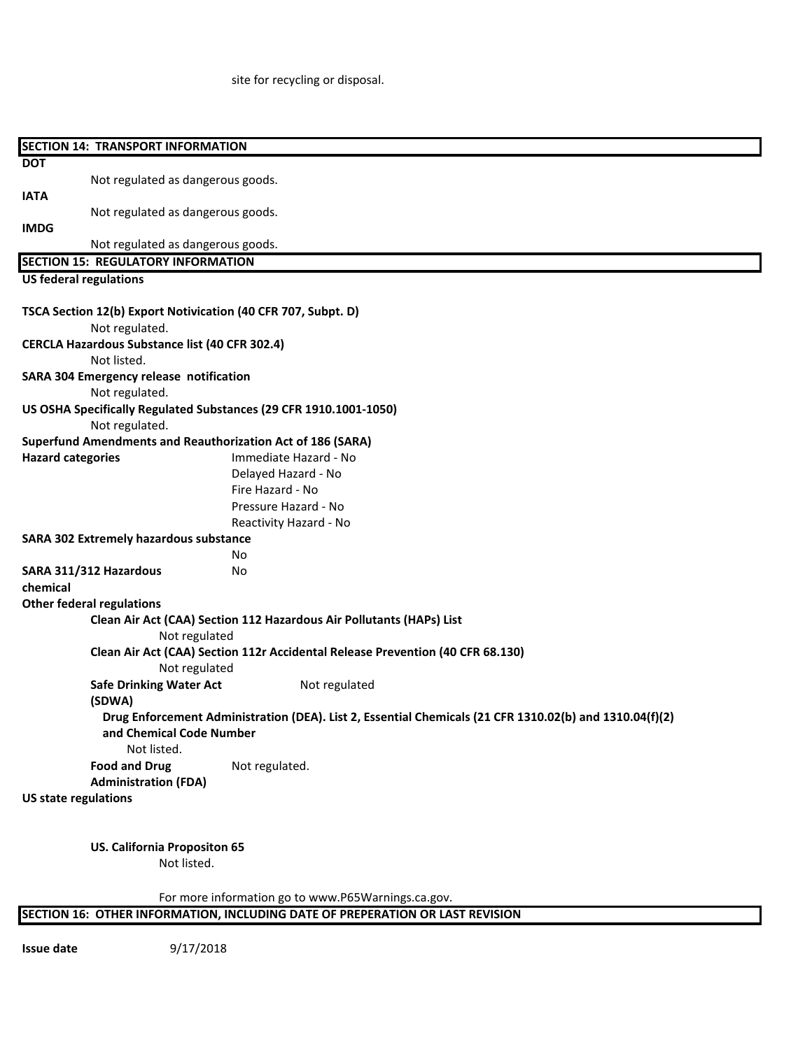site for recycling or disposal.

| <b>SECTION 14: TRANSPORT INFORMATION</b>      |                                                                                                                                     |  |  |
|-----------------------------------------------|-------------------------------------------------------------------------------------------------------------------------------------|--|--|
| <b>DOT</b>                                    |                                                                                                                                     |  |  |
|                                               | Not regulated as dangerous goods.                                                                                                   |  |  |
| <b>IATA</b>                                   |                                                                                                                                     |  |  |
|                                               | Not regulated as dangerous goods.                                                                                                   |  |  |
| <b>IMDG</b>                                   |                                                                                                                                     |  |  |
|                                               | Not regulated as dangerous goods.                                                                                                   |  |  |
| <b>SECTION 15: REGULATORY INFORMATION</b>     |                                                                                                                                     |  |  |
| <b>US federal regulations</b>                 |                                                                                                                                     |  |  |
|                                               | TSCA Section 12(b) Export Notivication (40 CFR 707, Subpt. D)                                                                       |  |  |
| Not regulated.                                |                                                                                                                                     |  |  |
|                                               | <b>CERCLA Hazardous Substance list (40 CFR 302.4)</b>                                                                               |  |  |
| Not listed.                                   |                                                                                                                                     |  |  |
| SARA 304 Emergency release notification       |                                                                                                                                     |  |  |
| Not regulated.                                |                                                                                                                                     |  |  |
|                                               | US OSHA Specifically Regulated Substances (29 CFR 1910.1001-1050)                                                                   |  |  |
| Not regulated.                                |                                                                                                                                     |  |  |
|                                               | <b>Superfund Amendments and Reauthorization Act of 186 (SARA)</b>                                                                   |  |  |
| <b>Hazard categories</b>                      | Immediate Hazard - No                                                                                                               |  |  |
|                                               | Delayed Hazard - No                                                                                                                 |  |  |
|                                               | Fire Hazard - No<br>Pressure Hazard - No                                                                                            |  |  |
|                                               | Reactivity Hazard - No                                                                                                              |  |  |
| <b>SARA 302 Extremely hazardous substance</b> |                                                                                                                                     |  |  |
|                                               | No                                                                                                                                  |  |  |
| SARA 311/312 Hazardous                        | No                                                                                                                                  |  |  |
| chemical                                      |                                                                                                                                     |  |  |
| <b>Other federal regulations</b>              |                                                                                                                                     |  |  |
|                                               | Clean Air Act (CAA) Section 112 Hazardous Air Pollutants (HAPs) List                                                                |  |  |
|                                               | Not regulated                                                                                                                       |  |  |
|                                               | Clean Air Act (CAA) Section 112r Accidental Release Prevention (40 CFR 68.130)                                                      |  |  |
|                                               | Not regulated                                                                                                                       |  |  |
|                                               | <b>Safe Drinking Water Act</b><br>Not regulated                                                                                     |  |  |
| (SDWA)                                        |                                                                                                                                     |  |  |
|                                               | Drug Enforcement Administration (DEA). List 2, Essential Chemicals (21 CFR 1310.02(b) and 1310.04(f)(2)<br>and Chemical Code Number |  |  |
|                                               | Not listed.                                                                                                                         |  |  |
| <b>Food and Drug</b>                          | Not regulated.                                                                                                                      |  |  |
|                                               | <b>Administration (FDA)</b>                                                                                                         |  |  |
| <b>US state regulations</b>                   |                                                                                                                                     |  |  |
|                                               |                                                                                                                                     |  |  |
|                                               |                                                                                                                                     |  |  |
|                                               | <b>US. California Propositon 65</b>                                                                                                 |  |  |
|                                               | Not listed.                                                                                                                         |  |  |

For more information go to www.P65Warnings.ca.gov.

|  | <b>ISECTION 16: OTHER INFORMATION. INCLUDING DATE OF PREPERATION OR LAST REVISION</b> |  |
|--|---------------------------------------------------------------------------------------|--|
|  |                                                                                       |  |